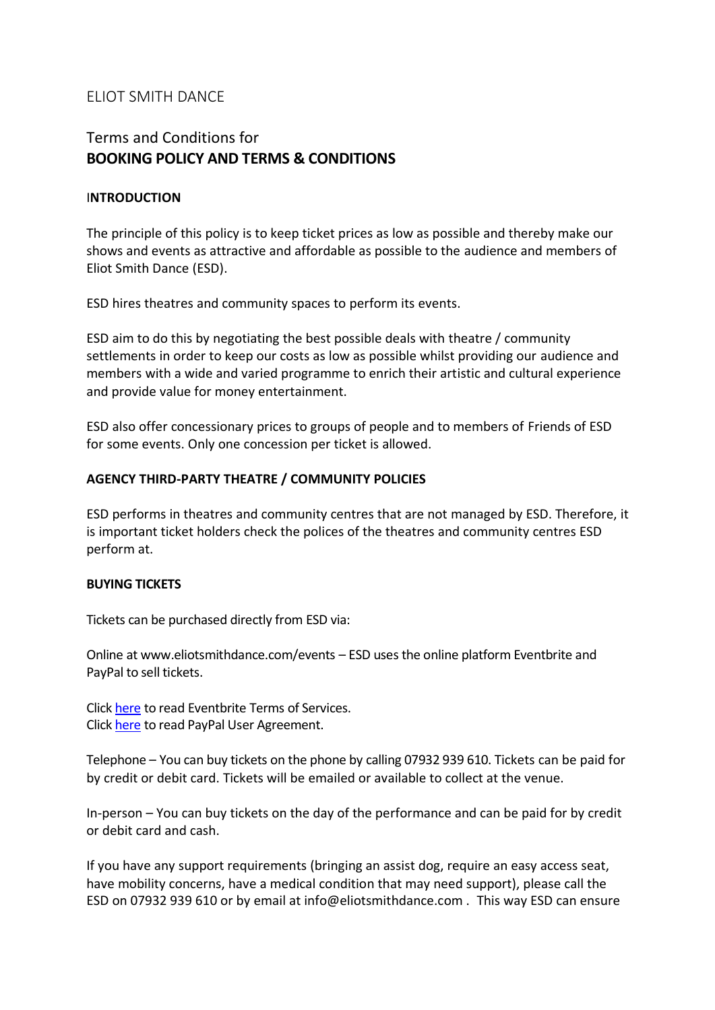# ELIOT SMITH DANCE

# Terms and Conditions for **BOOKING POLICY AND TERMS & CONDITIONS**

### I**NTRODUCTION**

The principle of this policy is to keep ticket prices as low as possible and thereby make our shows and events as attractive and affordable as possible to the audience and members of Eliot Smith Dance (ESD).

ESD hires theatres and community spaces to perform its events.

ESD aim to do this by negotiating the best possible deals with theatre / community settlements in order to keep our costs as low as possible whilst providing our audience and members with a wide and varied programme to enrich their artistic and cultural experience and provide value for money entertainment.

ESD also offer concessionary prices to groups of people and to members of Friends of ESD for some events. Only one concession per ticket is allowed.

# **AGENCY THIRD-PARTY THEATRE / COMMUNITY POLICIES**

ESD performs in theatres and community centres that are not managed by ESD. Therefore, it is important ticket holders check the polices of the theatres and community centres ESD perform at.

# **BUYING TICKETS**

Tickets can be purchased directly from ESD via:

Online at www.eliotsmithdance.com/events – ESD uses the online platform Eventbrite and PayPal to sell tickets.

Click [here](https://www.eventbrite.co.uk/support/articles/en_US/Troubleshooting/eventbrite-terms-of-service?lg=en_GB) to read Eventbrite Terms of Services. Click [here](https://www.paypal.com/uk/webapps/mpp/ua/useragreement-full) to read PayPal User Agreement.

Telephone – You can buy tickets on the phone by calling 07932 939 610. Tickets can be paid for by credit or debit card. Tickets will be emailed or available to collect at the venue.

In-person – You can buy tickets on the day of the performance and can be paid for by credit or debit card and cash.

If you have any support requirements (bringing an assist dog, require an easy access seat, have mobility concerns, have a medical condition that may need support), please call the ESD on 07932 939 610 or by email at info@eliotsmithdance.com . This way ESD can ensure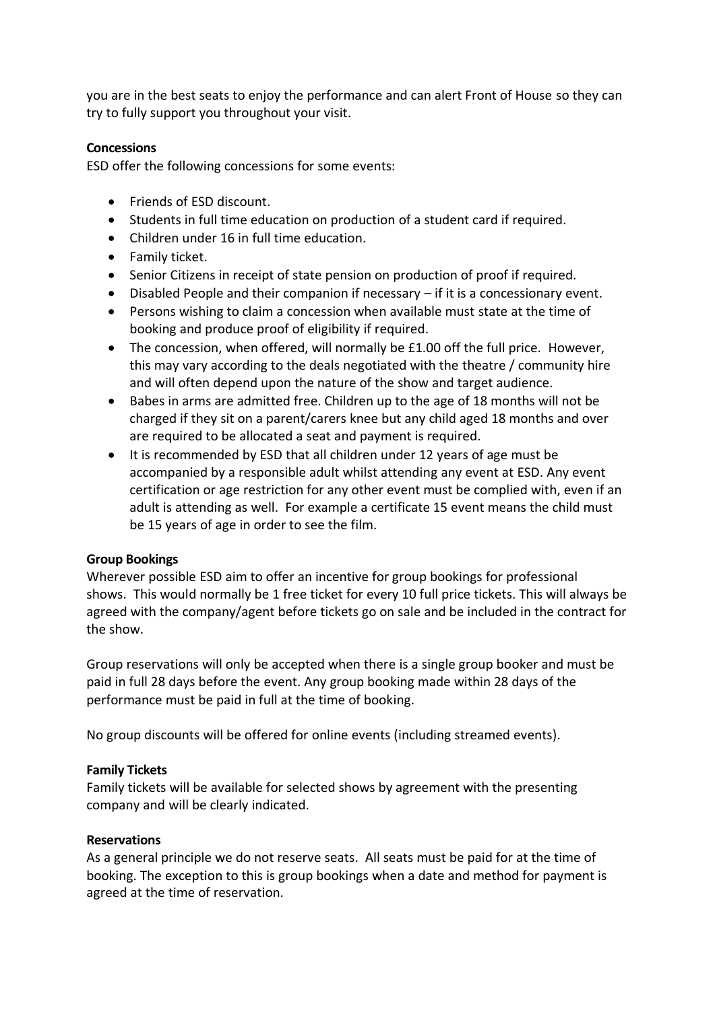you are in the best seats to enjoy the performance and can alert Front of House so they can try to fully support you throughout your visit.

### **Concessions**

ESD offer the following concessions for some events:

- Friends of ESD discount.
- Students in full time education on production of a student card if required.
- Children under 16 in full time education.
- Family ticket.
- Senior Citizens in receipt of state pension on production of proof if required.
- Disabled People and their companion if necessary if it is a concessionary event.
- Persons wishing to claim a concession when available must state at the time of booking and produce proof of eligibility if required.
- The concession, when offered, will normally be £1.00 off the full price. However, this may vary according to the deals negotiated with the theatre / community hire and will often depend upon the nature of the show and target audience.
- Babes in arms are admitted free. Children up to the age of 18 months will not be charged if they sit on a parent/carers knee but any child aged 18 months and over are required to be allocated a seat and payment is required.
- It is recommended by ESD that all children under 12 years of age must be accompanied by a responsible adult whilst attending any event at ESD. Any event certification or age restriction for any other event must be complied with, even if an adult is attending as well. For example a certificate 15 event means the child must be 15 years of age in order to see the film.

# **Group Bookings**

Wherever possible ESD aim to offer an incentive for group bookings for professional shows. This would normally be 1 free ticket for every 10 full price tickets. This will always be agreed with the company/agent before tickets go on sale and be included in the contract for the show.

Group reservations will only be accepted when there is a single group booker and must be paid in full 28 days before the event. Any group booking made within 28 days of the performance must be paid in full at the time of booking.

No group discounts will be offered for online events (including streamed events).

# **Family Tickets**

Family tickets will be available for selected shows by agreement with the presenting company and will be clearly indicated.

# **Reservations**

As a general principle we do not reserve seats. All seats must be paid for at the time of booking. The exception to this is group bookings when a date and method for payment is agreed at the time of reservation.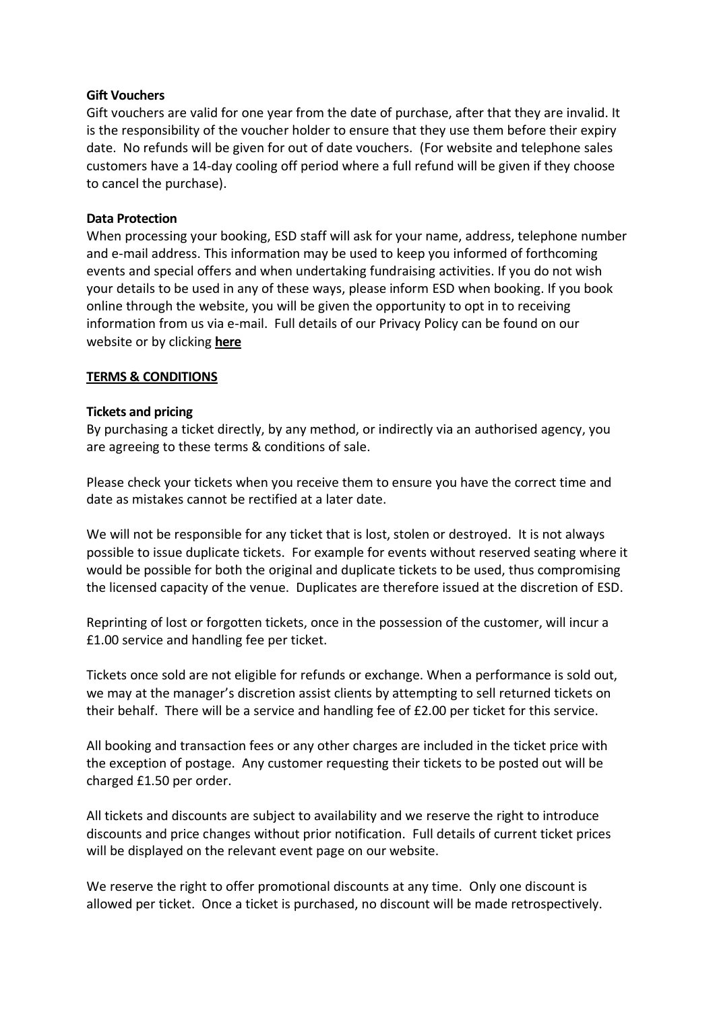### **Gift Vouchers**

Gift vouchers are valid for one year from the date of purchase, after that they are invalid. It is the responsibility of the voucher holder to ensure that they use them before their expiry date. No refunds will be given for out of date vouchers. (For website and telephone sales customers have a 14-day cooling off period where a full refund will be given if they choose to cancel the purchase).

### **Data Protection**

When processing your booking, ESD staff will ask for your name, address, telephone number and e-mail address. This information may be used to keep you informed of forthcoming events and special offers and when undertaking fundraising activities. If you do not wish your details to be used in any of these ways, please inform ESD when booking. If you book online through the website, you will be given the opportunity to opt in to receiving information from us via e-mail. Full details of our Privacy Policy can be found on our website or by clicking **[here](https://www.eliotsmithdance.com/termsandconditions)**

#### **TERMS & CONDITIONS**

#### **Tickets and pricing**

By purchasing a ticket directly, by any method, or indirectly via an authorised agency, you are agreeing to these terms & conditions of sale.

Please check your tickets when you receive them to ensure you have the correct time and date as mistakes cannot be rectified at a later date.

We will not be responsible for any ticket that is lost, stolen or destroyed. It is not always possible to issue duplicate tickets. For example for events without reserved seating where it would be possible for both the original and duplicate tickets to be used, thus compromising the licensed capacity of the venue. Duplicates are therefore issued at the discretion of ESD.

Reprinting of lost or forgotten tickets, once in the possession of the customer, will incur a £1.00 service and handling fee per ticket.

Tickets once sold are not eligible for refunds or exchange. When a performance is sold out, we may at the manager's discretion assist clients by attempting to sell returned tickets on their behalf. There will be a service and handling fee of £2.00 per ticket for this service.

All booking and transaction fees or any other charges are included in the ticket price with the exception of postage. Any customer requesting their tickets to be posted out will be charged £1.50 per order.

All tickets and discounts are subject to availability and we reserve the right to introduce discounts and price changes without prior notification. Full details of current ticket prices will be displayed on the relevant event page on our website.

We reserve the right to offer promotional discounts at any time. Only one discount is allowed per ticket. Once a ticket is purchased, no discount will be made retrospectively.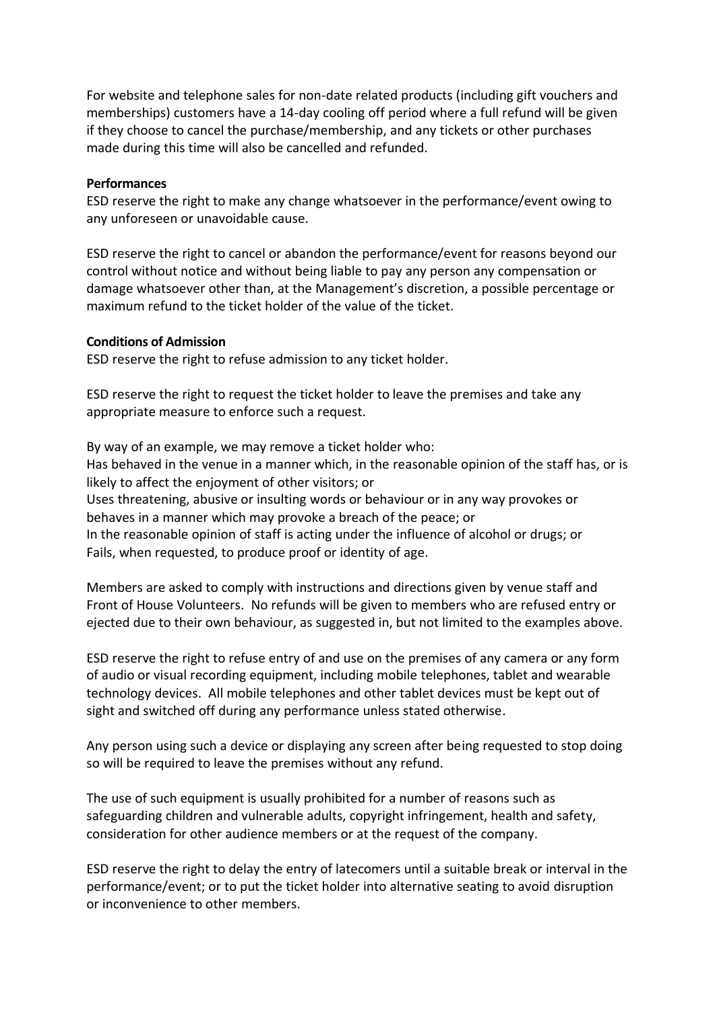For website and telephone sales for non-date related products (including gift vouchers and memberships) customers have a 14-day cooling off period where a full refund will be given if they choose to cancel the purchase/membership, and any tickets or other purchases made during this time will also be cancelled and refunded.

#### **Performances**

ESD reserve the right to make any change whatsoever in the performance/event owing to any unforeseen or unavoidable cause.

ESD reserve the right to cancel or abandon the performance/event for reasons beyond our control without notice and without being liable to pay any person any compensation or damage whatsoever other than, at the Management's discretion, a possible percentage or maximum refund to the ticket holder of the value of the ticket.

#### **Conditions of Admission**

ESD reserve the right to refuse admission to any ticket holder.

ESD reserve the right to request the ticket holder to leave the premises and take any appropriate measure to enforce such a request.

By way of an example, we may remove a ticket holder who: Has behaved in the venue in a manner which, in the reasonable opinion of the staff has, or is likely to affect the enjoyment of other visitors; or Uses threatening, abusive or insulting words or behaviour or in any way provokes or behaves in a manner which may provoke a breach of the peace; or In the reasonable opinion of staff is acting under the influence of alcohol or drugs; or

Fails, when requested, to produce proof or identity of age.

Members are asked to comply with instructions and directions given by venue staff and Front of House Volunteers. No refunds will be given to members who are refused entry or ejected due to their own behaviour, as suggested in, but not limited to the examples above.

ESD reserve the right to refuse entry of and use on the premises of any camera or any form of audio or visual recording equipment, including mobile telephones, tablet and wearable technology devices. All mobile telephones and other tablet devices must be kept out of sight and switched off during any performance unless stated otherwise.

Any person using such a device or displaying any screen after being requested to stop doing so will be required to leave the premises without any refund.

The use of such equipment is usually prohibited for a number of reasons such as safeguarding children and vulnerable adults, copyright infringement, health and safety, consideration for other audience members or at the request of the company.

ESD reserve the right to delay the entry of latecomers until a suitable break or interval in the performance/event; or to put the ticket holder into alternative seating to avoid disruption or inconvenience to other members.